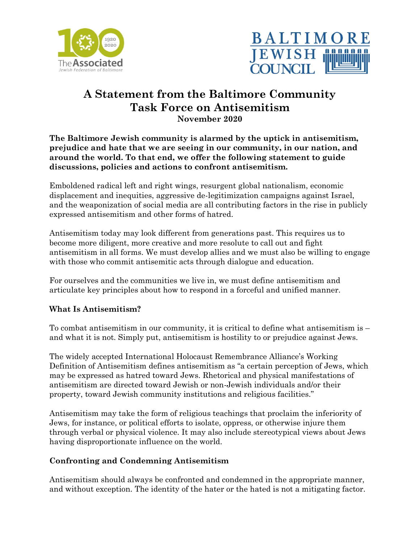



# **A Statement from the Baltimore Community Task Force on Antisemitism November 2020**

**The Baltimore Jewish community is alarmed by the uptick in antisemitism, prejudice and hate that we are seeing in our community, in our nation, and around the world. To that end, we offer the following statement to guide discussions, policies and actions to confront antisemitism.**

Emboldened radical left and right wings, resurgent global nationalism, economic displacement and inequities, aggressive de-legitimization campaigns against Israel, and the weaponization of social media are all contributing factors in the rise in publicly expressed antisemitism and other forms of hatred.

Antisemitism today may look different from generations past. This requires us to become more diligent, more creative and more resolute to call out and fight antisemitism in all forms. We must develop allies and we must also be willing to engage with those who commit antisemitic acts through dialogue and education.

For ourselves and the communities we live in, we must define antisemitism and articulate key principles about how to respond in a forceful and unified manner.

## **What Is Antisemitism?**

To combat antisemitism in our community, it is critical to define what antisemitism is – and what it is not. Simply put, antisemitism is hostility to or prejudice against Jews.

The widely accepted International Holocaust Remembrance Alliance's Working Definition of Antisemitism defines antisemitism as "a certain perception of Jews, which may be expressed as hatred toward Jews. Rhetorical and physical manifestations of antisemitism are directed toward Jewish or non-Jewish individuals and/or their property, toward Jewish community institutions and religious facilities."

Antisemitism may take the form of religious teachings that proclaim the inferiority of Jews, for instance, or political efforts to isolate, oppress, or otherwise injure them through verbal or physical violence. It may also include stereotypical views about Jews having disproportionate influence on the world.

#### **Confronting and Condemning Antisemitism**

Antisemitism should always be confronted and condemned in the appropriate manner, and without exception. The identity of the hater or the hated is not a mitigating factor.